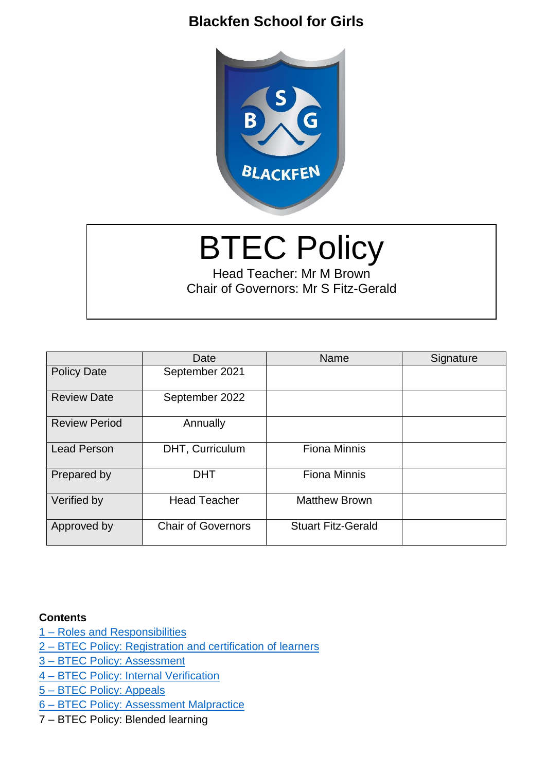# **Blackfen School for Girls**



# BTEC Policy

Head Teacher: Mr M Brown Chair of Governors: Mr S Fitz-Gerald

|                      | Date                      | Name                      | Signature |
|----------------------|---------------------------|---------------------------|-----------|
| <b>Policy Date</b>   | September 2021            |                           |           |
| <b>Review Date</b>   | September 2022            |                           |           |
| <b>Review Period</b> | Annually                  |                           |           |
| <b>Lead Person</b>   | DHT, Curriculum           | <b>Fiona Minnis</b>       |           |
| Prepared by          | <b>DHT</b>                | <b>Fiona Minnis</b>       |           |
| Verified by          | <b>Head Teacher</b>       | <b>Matthew Brown</b>      |           |
| Approved by          | <b>Chair of Governors</b> | <b>Stuart Fitz-Gerald</b> |           |

#### **Contents**

- 1 [Roles and Responsibilities](#page-1-0)
- 2 [BTEC Policy: Registration and certification of learners](#page-5-0)
- 3 [BTEC Policy: Assessment](#page-5-1)
- 4 [BTEC Policy: Internal Verification](#page-12-0)
- 5 [BTEC Policy: Appeals](#page-15-0)
- 6 [BTEC Policy: Assessment Malpractice](#page-17-0)
- 7 BTEC Policy: Blended learning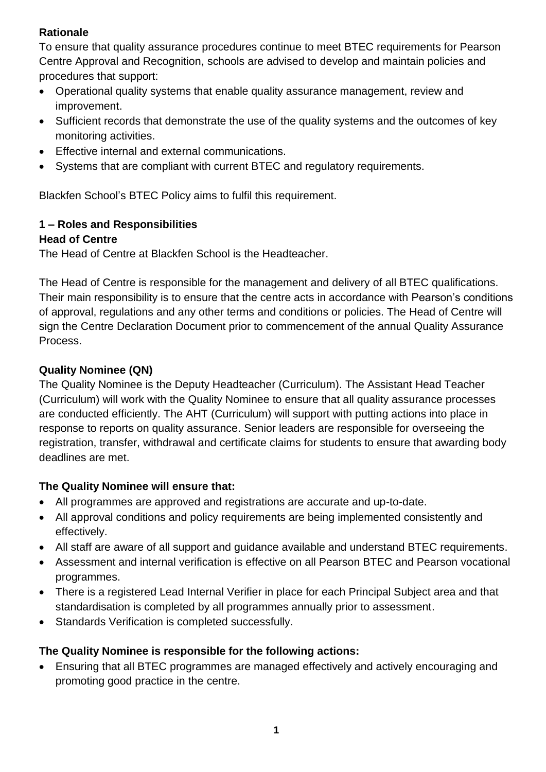## **Rationale**

To ensure that quality assurance procedures continue to meet BTEC requirements for Pearson Centre Approval and Recognition, schools are advised to develop and maintain policies and procedures that support:

- Operational quality systems that enable quality assurance management, review and improvement.
- Sufficient records that demonstrate the use of the quality systems and the outcomes of key monitoring activities.
- Effective internal and external communications.
- Systems that are compliant with current BTEC and regulatory requirements.

Blackfen School's BTEC Policy aims to fulfil this requirement.

# <span id="page-1-0"></span>**1 – Roles and Responsibilities**

# **Head of Centre**

The Head of Centre at Blackfen School is the Headteacher.

The Head of Centre is responsible for the management and delivery of all BTEC qualifications. Their main responsibility is to ensure that the centre acts in accordance with Pearson's conditions of approval, regulations and any other terms and conditions or policies. The Head of Centre will sign the Centre Declaration Document prior to commencement of the annual Quality Assurance Process.

# **Quality Nominee (QN)**

The Quality Nominee is the Deputy Headteacher (Curriculum). The Assistant Head Teacher (Curriculum) will work with the Quality Nominee to ensure that all quality assurance processes are conducted efficiently. The AHT (Curriculum) will support with putting actions into place in response to reports on quality assurance. Senior leaders are responsible for overseeing the registration, transfer, withdrawal and certificate claims for students to ensure that awarding body deadlines are met.

# **The Quality Nominee will ensure that:**

- All programmes are approved and registrations are accurate and up-to-date.
- All approval conditions and policy requirements are being implemented consistently and effectively.
- All staff are aware of all support and guidance available and understand BTEC requirements.
- Assessment and internal verification is effective on all Pearson BTEC and Pearson vocational programmes.
- There is a registered Lead Internal Verifier in place for each Principal Subject area and that standardisation is completed by all programmes annually prior to assessment.
- Standards Verification is completed successfully.

# **The Quality Nominee is responsible for the following actions:**

 Ensuring that all BTEC programmes are managed effectively and actively encouraging and promoting good practice in the centre.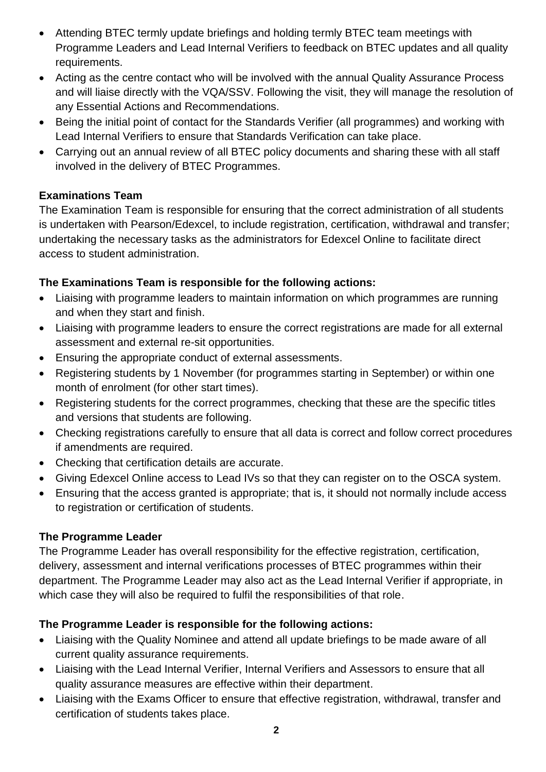- Attending BTEC termly update briefings and holding termly BTEC team meetings with Programme Leaders and Lead Internal Verifiers to feedback on BTEC updates and all quality requirements.
- Acting as the centre contact who will be involved with the annual Quality Assurance Process and will liaise directly with the VQA/SSV. Following the visit, they will manage the resolution of any Essential Actions and Recommendations.
- Being the initial point of contact for the Standards Verifier (all programmes) and working with Lead Internal Verifiers to ensure that Standards Verification can take place.
- Carrying out an annual review of all BTEC policy documents and sharing these with all staff involved in the delivery of BTEC Programmes.

# **Examinations Team**

The Examination Team is responsible for ensuring that the correct administration of all students is undertaken with Pearson/Edexcel, to include registration, certification, withdrawal and transfer; undertaking the necessary tasks as the administrators for Edexcel Online to facilitate direct access to student administration.

# **The Examinations Team is responsible for the following actions:**

- Liaising with programme leaders to maintain information on which programmes are running and when they start and finish.
- Liaising with programme leaders to ensure the correct registrations are made for all external assessment and external re-sit opportunities.
- Ensuring the appropriate conduct of external assessments.
- Registering students by 1 November (for programmes starting in September) or within one month of enrolment (for other start times).
- Registering students for the correct programmes, checking that these are the specific titles and versions that students are following.
- Checking registrations carefully to ensure that all data is correct and follow correct procedures if amendments are required.
- Checking that certification details are accurate.
- Giving Edexcel Online access to Lead IVs so that they can register on to the OSCA system.
- Ensuring that the access granted is appropriate; that is, it should not normally include access to registration or certification of students.

## **The Programme Leader**

The Programme Leader has overall responsibility for the effective registration, certification, delivery, assessment and internal verifications processes of BTEC programmes within their department. The Programme Leader may also act as the Lead Internal Verifier if appropriate, in which case they will also be required to fulfil the responsibilities of that role.

# **The Programme Leader is responsible for the following actions:**

- Liaising with the Quality Nominee and attend all update briefings to be made aware of all current quality assurance requirements.
- Liaising with the Lead Internal Verifier, Internal Verifiers and Assessors to ensure that all quality assurance measures are effective within their department.
- Liaising with the Exams Officer to ensure that effective registration, withdrawal, transfer and certification of students takes place.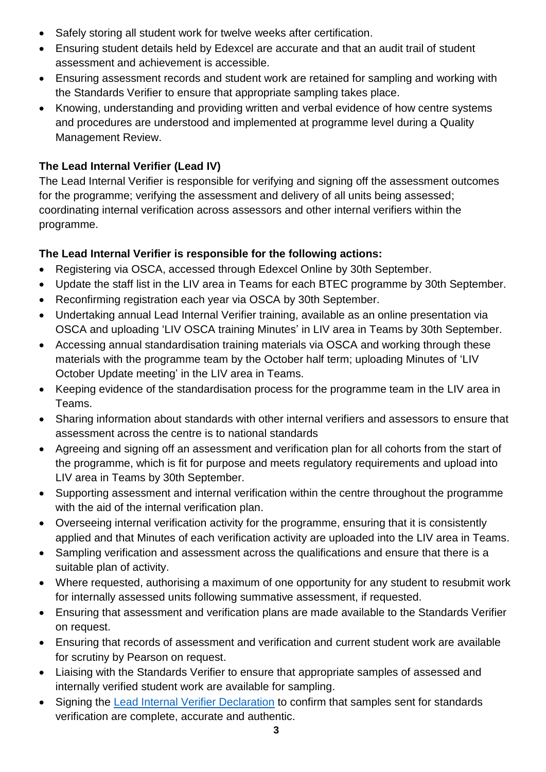- Safely storing all student work for twelve weeks after certification.
- Ensuring student details held by Edexcel are accurate and that an audit trail of student assessment and achievement is accessible.
- Ensuring assessment records and student work are retained for sampling and working with the Standards Verifier to ensure that appropriate sampling takes place.
- Knowing, understanding and providing written and verbal evidence of how centre systems and procedures are understood and implemented at programme level during a Quality Management Review.

# **The Lead Internal Verifier (Lead IV)**

The Lead Internal Verifier is responsible for verifying and signing off the assessment outcomes for the programme; verifying the assessment and delivery of all units being assessed; coordinating internal verification across assessors and other internal verifiers within the programme.

# **The Lead Internal Verifier is responsible for the following actions:**

- Registering via OSCA, accessed through Edexcel Online by 30th September.
- Update the staff list in the LIV area in Teams for each BTEC programme by 30th September.
- Reconfirming registration each year via OSCA by 30th September.
- Undertaking annual Lead Internal Verifier training, available as an online presentation via OSCA and uploading 'LIV OSCA training Minutes' in LIV area in Teams by 30th September.
- Accessing annual standardisation training materials via OSCA and working through these materials with the programme team by the October half term; uploading Minutes of 'LIV October Update meeting' in the LIV area in Teams.
- Keeping evidence of the standardisation process for the programme team in the LIV area in Teams.
- Sharing information about standards with other internal verifiers and assessors to ensure that assessment across the centre is to national standards
- Agreeing and signing off an assessment and verification plan for all cohorts from the start of the programme, which is fit for purpose and meets regulatory requirements and upload into LIV area in Teams by 30th September.
- Supporting assessment and internal verification within the centre throughout the programme with the aid of the internal verification plan.
- Overseeing internal verification activity for the programme, ensuring that it is consistently applied and that Minutes of each verification activity are uploaded into the LIV area in Teams.
- Sampling verification and assessment across the qualifications and ensure that there is a suitable plan of activity.
- Where requested, authorising a maximum of one opportunity for any student to resubmit work for internally assessed units following summative assessment, if requested.
- Ensuring that assessment and verification plans are made available to the Standards Verifier on request.
- Ensuring that records of assessment and verification and current student work are available for scrutiny by Pearson on request.
- Liaising with the Standards Verifier to ensure that appropriate samples of assessed and internally verified student work are available for sampling.
- Signing the [Lead Internal Verifier Declaration](https://www.google.co.uk/url?sa=t&rct=j&q=&esrc=s&source=web&cd=&cad=rja&uact=8&ved=2ahUKEwjXwKDAy5fyAhUZQkEAHVYAAXYQFnoECAYQAw&url=https%3A%2F%2Fqualifications.pearson.com%2Fcontent%2Fdam%2Fpdf%2FSupport%2FBTEC-assessment-and-verification-forms%2FBTEC%2520Lead%2520Internal%2520Verifier%2520Declaration.doc&usg=AOvVaw2SH0e1EJTSAx2eLn2fy3Rp) to confirm that samples sent for standards verification are complete, accurate and authentic.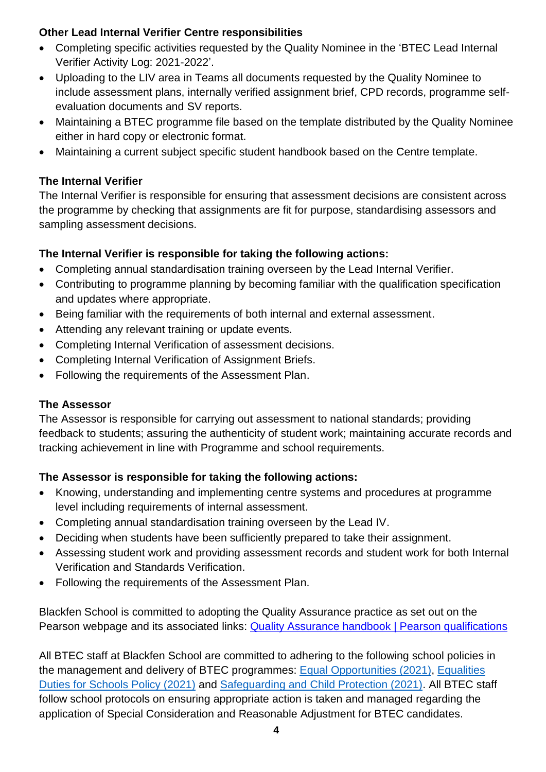## **Other Lead Internal Verifier Centre responsibilities**

- Completing specific activities requested by the Quality Nominee in the 'BTEC Lead Internal Verifier Activity Log: 2021-2022'.
- Uploading to the LIV area in Teams all documents requested by the Quality Nominee to include assessment plans, internally verified assignment brief, CPD records, programme selfevaluation documents and SV reports.
- Maintaining a BTEC programme file based on the template distributed by the Quality Nominee either in hard copy or electronic format.
- Maintaining a current subject specific student handbook based on the Centre template.

# **The Internal Verifier**

The Internal Verifier is responsible for ensuring that assessment decisions are consistent across the programme by checking that assignments are fit for purpose, standardising assessors and sampling assessment decisions.

# **The Internal Verifier is responsible for taking the following actions:**

- Completing annual standardisation training overseen by the Lead Internal Verifier.
- Contributing to programme planning by becoming familiar with the qualification specification and updates where appropriate.
- Being familiar with the requirements of both internal and external assessment.
- Attending any relevant training or update events.
- Completing Internal Verification of assessment decisions.
- Completing Internal Verification of Assignment Briefs.
- Following the requirements of the Assessment Plan.

# **The Assessor**

The Assessor is responsible for carrying out assessment to national standards; providing feedback to students; assuring the authenticity of student work; maintaining accurate records and tracking achievement in line with Programme and school requirements.

# **The Assessor is responsible for taking the following actions:**

- Knowing, understanding and implementing centre systems and procedures at programme level including requirements of internal assessment.
- Completing annual standardisation training overseen by the Lead IV.
- Deciding when students have been sufficiently prepared to take their assignment.
- Assessing student work and providing assessment records and student work for both Internal Verification and Standards Verification.
- Following the requirements of the Assessment Plan.

Blackfen School is committed to adopting the Quality Assurance practice as set out on the Pearson webpage and its associated links: [Quality Assurance handbook | Pearson qualifications](https://qualifications.pearson.com/en/support/support-topics/quality-assurance/btec-quality-assurance-handbook.html)

All BTEC staff at Blackfen School are committed to adhering to the following school policies in the management and delivery of BTEC programmes: [Equal Opportunities \(2021\),](https://www.blackfenschoolforgirls.co.uk/attachments/download.asp?file=2266&type=pdf) [Equalities](https://www.blackfenschoolforgirls.co.uk/attachments/download.asp?file=2273&type=pdf)  [Duties for Schools Policy \(2021\)](https://www.blackfenschoolforgirls.co.uk/attachments/download.asp?file=2273&type=pdf) and [Safeguarding and Child Protection \(2021\).](https://www.blackfenschoolforgirls.co.uk/attachments/download.asp?file=2269&type=pdf) All BTEC staff follow school protocols on ensuring appropriate action is taken and managed regarding the application of Special Consideration and Reasonable Adjustment for BTEC candidates.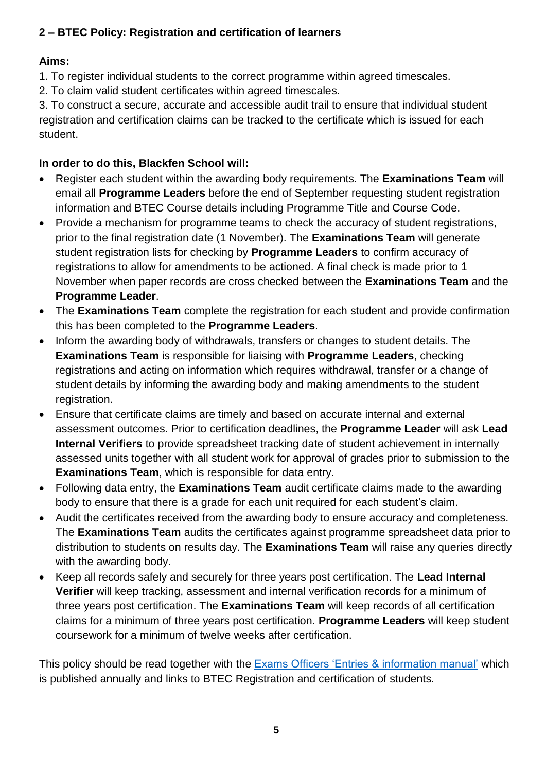# <span id="page-5-0"></span>**2 – BTEC Policy: Registration and certification of learners**

# **Aims:**

1. To register individual students to the correct programme within agreed timescales.

2. To claim valid student certificates within agreed timescales.

3. To construct a secure, accurate and accessible audit trail to ensure that individual student registration and certification claims can be tracked to the certificate which is issued for each student.

# **In order to do this, Blackfen School will:**

- Register each student within the awarding body requirements. The **Examinations Team** will email all **Programme Leaders** before the end of September requesting student registration information and BTEC Course details including Programme Title and Course Code.
- Provide a mechanism for programme teams to check the accuracy of student registrations, prior to the final registration date (1 November). The **Examinations Team** will generate student registration lists for checking by **Programme Leaders** to confirm accuracy of registrations to allow for amendments to be actioned. A final check is made prior to 1 November when paper records are cross checked between the **Examinations Team** and the **Programme Leader**.
- The **Examinations Team** complete the registration for each student and provide confirmation this has been completed to the **Programme Leaders**.
- Inform the awarding body of withdrawals, transfers or changes to student details. The **Examinations Team** is responsible for liaising with **Programme Leaders**, checking registrations and acting on information which requires withdrawal, transfer or a change of student details by informing the awarding body and making amendments to the student registration.
- Ensure that certificate claims are timely and based on accurate internal and external assessment outcomes. Prior to certification deadlines, the **Programme Leader** will ask **Lead Internal Verifiers** to provide spreadsheet tracking date of student achievement in internally assessed units together with all student work for approval of grades prior to submission to the **Examinations Team**, which is responsible for data entry.
- Following data entry, the **Examinations Team** audit certificate claims made to the awarding body to ensure that there is a grade for each unit required for each student's claim.
- Audit the certificates received from the awarding body to ensure accuracy and completeness. The **Examinations Team** audits the certificates against programme spreadsheet data prior to distribution to students on results day. The **Examinations Team** will raise any queries directly with the awarding body.
- Keep all records safely and securely for three years post certification. The **Lead Internal Verifier** will keep tracking, assessment and internal verification records for a minimum of three years post certification. The **Examinations Team** will keep records of all certification claims for a minimum of three years post certification. **Programme Leaders** will keep student coursework for a minimum of twelve weeks after certification.

<span id="page-5-1"></span>This policy should be read together with the **Exams Officers 'Entries & information manual'** which is published annually and links to BTEC Registration and certification of students.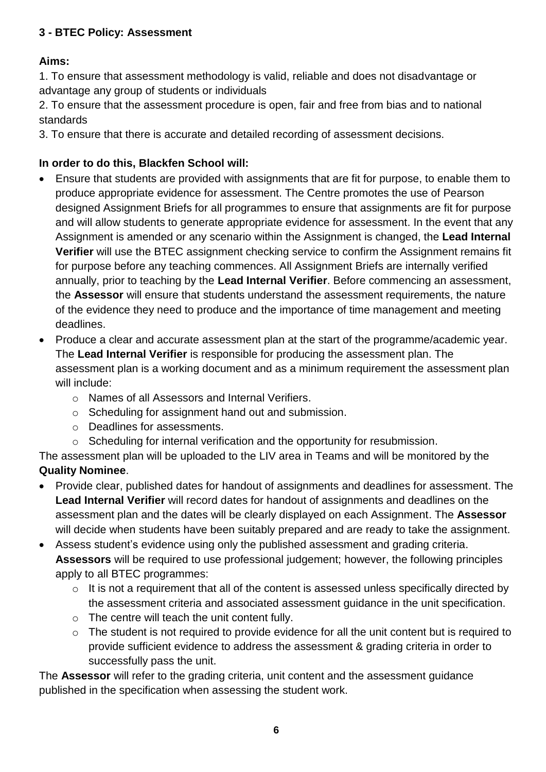## **3 - BTEC Policy: Assessment**

# **Aims:**

1. To ensure that assessment methodology is valid, reliable and does not disadvantage or advantage any group of students or individuals

2. To ensure that the assessment procedure is open, fair and free from bias and to national standards

3. To ensure that there is accurate and detailed recording of assessment decisions.

# **In order to do this, Blackfen School will:**

- Ensure that students are provided with assignments that are fit for purpose, to enable them to produce appropriate evidence for assessment. The Centre promotes the use of Pearson designed Assignment Briefs for all programmes to ensure that assignments are fit for purpose and will allow students to generate appropriate evidence for assessment. In the event that any Assignment is amended or any scenario within the Assignment is changed, the **Lead Internal Verifier** will use the BTEC assignment checking service to confirm the Assignment remains fit for purpose before any teaching commences. All Assignment Briefs are internally verified annually, prior to teaching by the **Lead Internal Verifier**. Before commencing an assessment, the **Assessor** will ensure that students understand the assessment requirements, the nature of the evidence they need to produce and the importance of time management and meeting deadlines.
- Produce a clear and accurate assessment plan at the start of the programme/academic year. The **Lead Internal Verifier** is responsible for producing the assessment plan. The assessment plan is a working document and as a minimum requirement the assessment plan will include:
	- o Names of all Assessors and Internal Verifiers.
	- o Scheduling for assignment hand out and submission.
	- o Deadlines for assessments.
	- o Scheduling for internal verification and the opportunity for resubmission.

The assessment plan will be uploaded to the LIV area in Teams and will be monitored by the **Quality Nominee**.

- Provide clear, published dates for handout of assignments and deadlines for assessment. The **Lead Internal Verifier** will record dates for handout of assignments and deadlines on the assessment plan and the dates will be clearly displayed on each Assignment. The **Assessor**  will decide when students have been suitably prepared and are ready to take the assignment.
- Assess student's evidence using only the published assessment and grading criteria. **Assessors** will be required to use professional judgement; however, the following principles apply to all BTEC programmes:
	- $\circ$  It is not a requirement that all of the content is assessed unless specifically directed by the assessment criteria and associated assessment guidance in the unit specification.
	- o The centre will teach the unit content fully.
	- $\circ$  The student is not required to provide evidence for all the unit content but is required to provide sufficient evidence to address the assessment & grading criteria in order to successfully pass the unit.

The **Assessor** will refer to the grading criteria, unit content and the assessment guidance published in the specification when assessing the student work.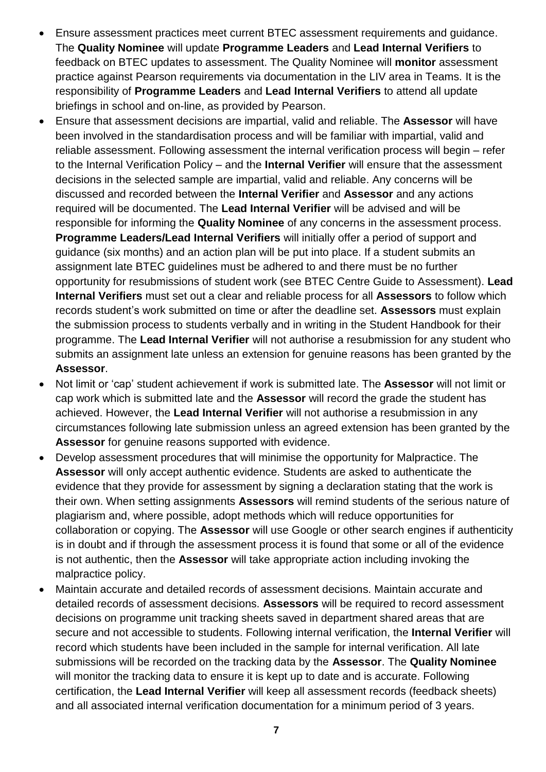- Ensure assessment practices meet current BTEC assessment requirements and guidance. The **Quality Nominee** will update **Programme Leaders** and **Lead Internal Verifiers** to feedback on BTEC updates to assessment. The Quality Nominee will **monitor** assessment practice against Pearson requirements via documentation in the LIV area in Teams. It is the responsibility of **Programme Leaders** and **Lead Internal Verifiers** to attend all update briefings in school and on-line, as provided by Pearson.
- Ensure that assessment decisions are impartial, valid and reliable. The **Assessor** will have been involved in the standardisation process and will be familiar with impartial, valid and reliable assessment. Following assessment the internal verification process will begin – refer to the Internal Verification Policy – and the **Internal Verifier** will ensure that the assessment decisions in the selected sample are impartial, valid and reliable. Any concerns will be discussed and recorded between the **Internal Verifier** and **Assessor** and any actions required will be documented. The **Lead Internal Verifier** will be advised and will be responsible for informing the **Quality Nominee** of any concerns in the assessment process. **Programme Leaders/Lead Internal Verifiers** will initially offer a period of support and guidance (six months) and an action plan will be put into place. If a student submits an assignment late BTEC guidelines must be adhered to and there must be no further opportunity for resubmissions of student work (see BTEC Centre Guide to Assessment). **Lead Internal Verifiers** must set out a clear and reliable process for all **Assessors** to follow which records student's work submitted on time or after the deadline set. **Assessors** must explain the submission process to students verbally and in writing in the Student Handbook for their programme. The **Lead Internal Verifier** will not authorise a resubmission for any student who submits an assignment late unless an extension for genuine reasons has been granted by the **Assessor**.
- Not limit or 'cap' student achievement if work is submitted late. The **Assessor** will not limit or cap work which is submitted late and the **Assessor** will record the grade the student has achieved. However, the **Lead Internal Verifier** will not authorise a resubmission in any circumstances following late submission unless an agreed extension has been granted by the **Assessor** for genuine reasons supported with evidence.
- Develop assessment procedures that will minimise the opportunity for Malpractice. The **Assessor** will only accept authentic evidence. Students are asked to authenticate the evidence that they provide for assessment by signing a declaration stating that the work is their own. When setting assignments **Assessors** will remind students of the serious nature of plagiarism and, where possible, adopt methods which will reduce opportunities for collaboration or copying. The **Assessor** will use Google or other search engines if authenticity is in doubt and if through the assessment process it is found that some or all of the evidence is not authentic, then the **Assessor** will take appropriate action including invoking the malpractice policy.
- Maintain accurate and detailed records of assessment decisions. Maintain accurate and detailed records of assessment decisions. **Assessors** will be required to record assessment decisions on programme unit tracking sheets saved in department shared areas that are secure and not accessible to students. Following internal verification, the **Internal Verifier** will record which students have been included in the sample for internal verification. All late submissions will be recorded on the tracking data by the **Assessor**. The **Quality Nominee** will monitor the tracking data to ensure it is kept up to date and is accurate. Following certification, the **Lead Internal Verifier** will keep all assessment records (feedback sheets) and all associated internal verification documentation for a minimum period of 3 years.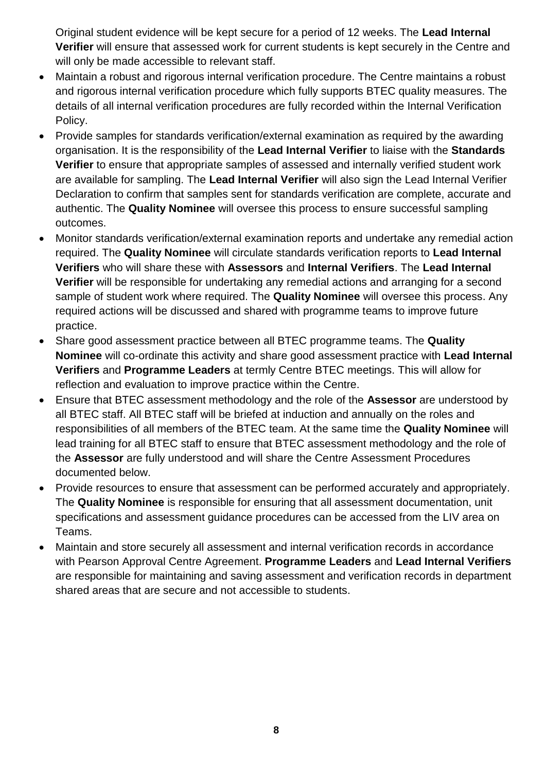Original student evidence will be kept secure for a period of 12 weeks. The **Lead Internal Verifier** will ensure that assessed work for current students is kept securely in the Centre and will only be made accessible to relevant staff.

- Maintain a robust and rigorous internal verification procedure. The Centre maintains a robust and rigorous internal verification procedure which fully supports BTEC quality measures. The details of all internal verification procedures are fully recorded within the Internal Verification Policy.
- Provide samples for standards verification/external examination as required by the awarding organisation. It is the responsibility of the **Lead Internal Verifier** to liaise with the **Standards Verifier** to ensure that appropriate samples of assessed and internally verified student work are available for sampling. The **Lead Internal Verifier** will also sign the Lead Internal Verifier Declaration to confirm that samples sent for standards verification are complete, accurate and authentic. The **Quality Nominee** will oversee this process to ensure successful sampling outcomes.
- Monitor standards verification/external examination reports and undertake any remedial action required. The **Quality Nominee** will circulate standards verification reports to **Lead Internal Verifiers** who will share these with **Assessors** and **Internal Verifiers**. The **Lead Internal Verifier** will be responsible for undertaking any remedial actions and arranging for a second sample of student work where required. The **Quality Nominee** will oversee this process. Any required actions will be discussed and shared with programme teams to improve future practice.
- Share good assessment practice between all BTEC programme teams. The **Quality Nominee** will co-ordinate this activity and share good assessment practice with **Lead Internal Verifiers** and **Programme Leaders** at termly Centre BTEC meetings. This will allow for reflection and evaluation to improve practice within the Centre.
- Ensure that BTEC assessment methodology and the role of the **Assessor** are understood by all BTEC staff. All BTEC staff will be briefed at induction and annually on the roles and responsibilities of all members of the BTEC team. At the same time the **Quality Nominee** will lead training for all BTEC staff to ensure that BTEC assessment methodology and the role of the **Assessor** are fully understood and will share the Centre Assessment Procedures documented below.
- Provide resources to ensure that assessment can be performed accurately and appropriately. The **Quality Nominee** is responsible for ensuring that all assessment documentation, unit specifications and assessment guidance procedures can be accessed from the LIV area on Teams.
- Maintain and store securely all assessment and internal verification records in accordance with Pearson Approval Centre Agreement. **Programme Leaders** and **Lead Internal Verifiers** are responsible for maintaining and saving assessment and verification records in department shared areas that are secure and not accessible to students.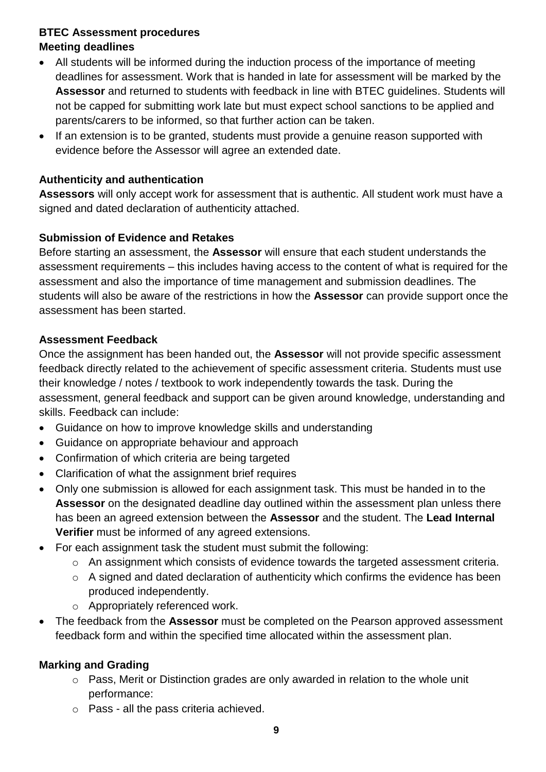## **BTEC Assessment procedures Meeting deadlines**

- All students will be informed during the induction process of the importance of meeting deadlines for assessment. Work that is handed in late for assessment will be marked by the **Assessor** and returned to students with feedback in line with BTEC guidelines. Students will not be capped for submitting work late but must expect school sanctions to be applied and parents/carers to be informed, so that further action can be taken.
- If an extension is to be granted, students must provide a genuine reason supported with evidence before the Assessor will agree an extended date.

## **Authenticity and authentication**

Assessors will only accept work for assessment that is authentic. All student work must have a signed and dated declaration of authenticity attached.

## **Submission of Evidence and Retakes**

Before starting an assessment, the **Assessor** will ensure that each student understands the assessment requirements – this includes having access to the content of what is required for the assessment and also the importance of time management and submission deadlines. The students will also be aware of the restrictions in how the **Assessor** can provide support once the assessment has been started.

### **Assessment Feedback**

Once the assignment has been handed out, the **Assessor** will not provide specific assessment feedback directly related to the achievement of specific assessment criteria. Students must use their knowledge / notes / textbook to work independently towards the task. During the assessment, general feedback and support can be given around knowledge, understanding and skills. Feedback can include:

- Guidance on how to improve knowledge skills and understanding
- Guidance on appropriate behaviour and approach
- Confirmation of which criteria are being targeted
- Clarification of what the assignment brief requires
- Only one submission is allowed for each assignment task. This must be handed in to the **Assessor** on the designated deadline day outlined within the assessment plan unless there has been an agreed extension between the **Assessor** and the student. The **Lead Internal Verifier** must be informed of any agreed extensions.
- For each assignment task the student must submit the following:
	- o An assignment which consists of evidence towards the targeted assessment criteria.
	- o A signed and dated declaration of authenticity which confirms the evidence has been produced independently.
	- o Appropriately referenced work.
- The feedback from the **Assessor** must be completed on the Pearson approved assessment feedback form and within the specified time allocated within the assessment plan.

### **Marking and Grading**

- o Pass, Merit or Distinction grades are only awarded in relation to the whole unit performance:
- o Pass all the pass criteria achieved.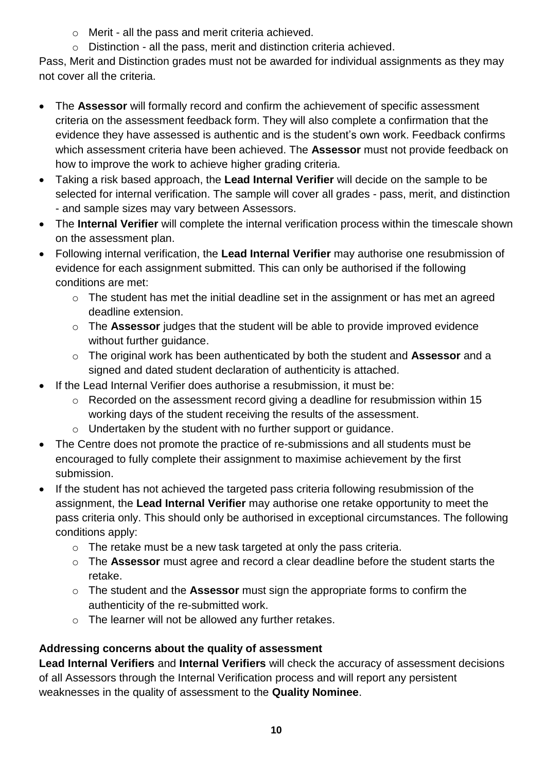- o Merit all the pass and merit criteria achieved.
- o Distinction all the pass, merit and distinction criteria achieved.

Pass, Merit and Distinction grades must not be awarded for individual assignments as they may not cover all the criteria.

- The **Assessor** will formally record and confirm the achievement of specific assessment criteria on the assessment feedback form. They will also complete a confirmation that the evidence they have assessed is authentic and is the student's own work. Feedback confirms which assessment criteria have been achieved. The **Assessor** must not provide feedback on how to improve the work to achieve higher grading criteria.
- Taking a risk based approach, the **Lead Internal Verifier** will decide on the sample to be selected for internal verification. The sample will cover all grades - pass, merit, and distinction - and sample sizes may vary between Assessors.
- The **Internal Verifier** will complete the internal verification process within the timescale shown on the assessment plan.
- Following internal verification, the **Lead Internal Verifier** may authorise one resubmission of evidence for each assignment submitted. This can only be authorised if the following conditions are met:
	- o The student has met the initial deadline set in the assignment or has met an agreed deadline extension.
	- o The **Assessor** judges that the student will be able to provide improved evidence without further guidance.
	- o The original work has been authenticated by both the student and **Assessor** and a signed and dated student declaration of authenticity is attached.
- If the Lead Internal Verifier does authorise a resubmission, it must be:
	- o Recorded on the assessment record giving a deadline for resubmission within 15 working days of the student receiving the results of the assessment.
	- o Undertaken by the student with no further support or guidance.
- The Centre does not promote the practice of re-submissions and all students must be encouraged to fully complete their assignment to maximise achievement by the first submission.
- If the student has not achieved the targeted pass criteria following resubmission of the assignment, the **Lead Internal Verifier** may authorise one retake opportunity to meet the pass criteria only. This should only be authorised in exceptional circumstances. The following conditions apply:
	- o The retake must be a new task targeted at only the pass criteria.
	- o The **Assessor** must agree and record a clear deadline before the student starts the retake.
	- o The student and the **Assessor** must sign the appropriate forms to confirm the authenticity of the re-submitted work.
	- o The learner will not be allowed any further retakes.

# **Addressing concerns about the quality of assessment**

**Lead Internal Verifiers** and **Internal Verifiers** will check the accuracy of assessment decisions of all Assessors through the Internal Verification process and will report any persistent weaknesses in the quality of assessment to the **Quality Nominee**.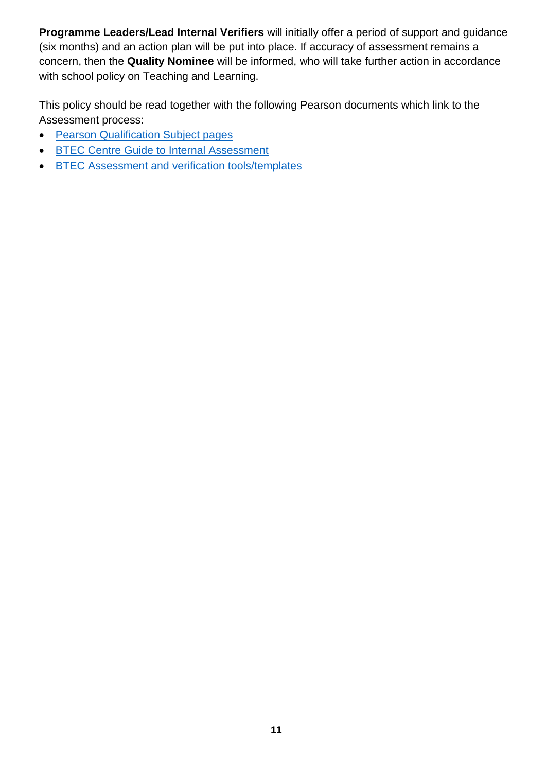**Programme Leaders/Lead Internal Verifiers** will initially offer a period of support and guidance (six months) and an action plan will be put into place. If accuracy of assessment remains a concern, then the **Quality Nominee** will be informed, who will take further action in accordance with school policy on Teaching and Learning.

This policy should be read together with the following Pearson documents which link to the Assessment process:

- [Pearson Qualification Subject pages](https://qualifications.pearson.com/en/home.html)
- **[BTEC Centre Guide to Internal Assessment](https://qualifications.pearson.com/content/dam/pdf/Support/Quality%20Assurance/BTEC-Centre-Guide-to-Internal-Assessment.pdf)**
- **BTEC Assessment and verification tools/templates**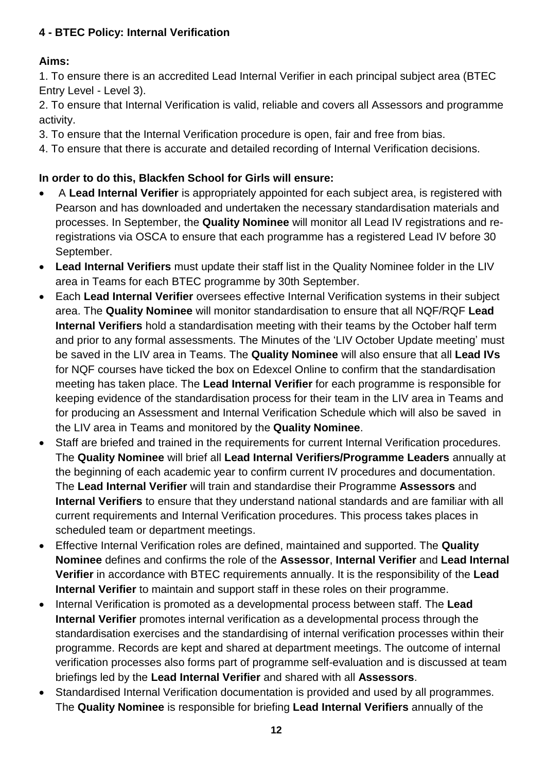## <span id="page-12-0"></span>**4 - BTEC Policy: Internal Verification**

# **Aims:**

1. To ensure there is an accredited Lead Internal Verifier in each principal subject area (BTEC Entry Level - Level 3).

2. To ensure that Internal Verification is valid, reliable and covers all Assessors and programme activity.

- 3. To ensure that the Internal Verification procedure is open, fair and free from bias.
- 4. To ensure that there is accurate and detailed recording of Internal Verification decisions.

## **In order to do this, Blackfen School for Girls will ensure:**

- A **Lead Internal Verifier** is appropriately appointed for each subject area, is registered with Pearson and has downloaded and undertaken the necessary standardisation materials and processes. In September, the **Quality Nominee** will monitor all Lead IV registrations and reregistrations via OSCA to ensure that each programme has a registered Lead IV before 30 September.
- **Lead Internal Verifiers** must update their staff list in the Quality Nominee folder in the LIV area in Teams for each BTEC programme by 30th September.
- Each **Lead Internal Verifier** oversees effective Internal Verification systems in their subject area. The **Quality Nominee** will monitor standardisation to ensure that all NQF/RQF **Lead Internal Verifiers** hold a standardisation meeting with their teams by the October half term and prior to any formal assessments. The Minutes of the 'LIV October Update meeting' must be saved in the LIV area in Teams. The **Quality Nominee** will also ensure that all **Lead IVs** for NQF courses have ticked the box on Edexcel Online to confirm that the standardisation meeting has taken place. The **Lead Internal Verifier** for each programme is responsible for keeping evidence of the standardisation process for their team in the LIV area in Teams and for producing an Assessment and Internal Verification Schedule which will also be saved in the LIV area in Teams and monitored by the **Quality Nominee**.
- Staff are briefed and trained in the requirements for current Internal Verification procedures. The **Quality Nominee** will brief all **Lead Internal Verifiers/Programme Leaders** annually at the beginning of each academic year to confirm current IV procedures and documentation. The **Lead Internal Verifier** will train and standardise their Programme **Assessors** and **Internal Verifiers** to ensure that they understand national standards and are familiar with all current requirements and Internal Verification procedures. This process takes places in scheduled team or department meetings.
- Effective Internal Verification roles are defined, maintained and supported. The **Quality Nominee** defines and confirms the role of the **Assessor**, **Internal Verifier** and **Lead Internal Verifier** in accordance with BTEC requirements annually. It is the responsibility of the **Lead Internal Verifier** to maintain and support staff in these roles on their programme.
- Internal Verification is promoted as a developmental process between staff. The **Lead Internal Verifier** promotes internal verification as a developmental process through the standardisation exercises and the standardising of internal verification processes within their programme. Records are kept and shared at department meetings. The outcome of internal verification processes also forms part of programme self-evaluation and is discussed at team briefings led by the **Lead Internal Verifier** and shared with all **Assessors**.
- Standardised Internal Verification documentation is provided and used by all programmes. The **Quality Nominee** is responsible for briefing **Lead Internal Verifiers** annually of the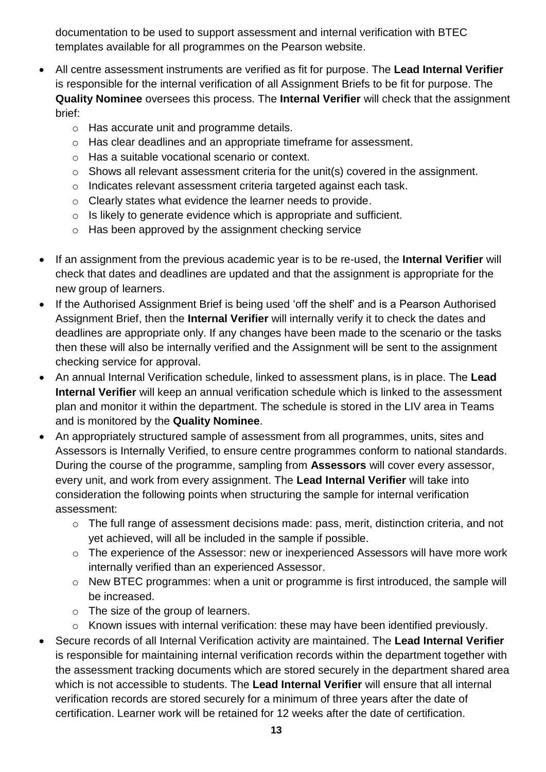documentation to be used to support assessment and internal verification with BTEC templates available for all programmes on the Pearson website.

- All centre assessment instruments are verified as fit for purpose. The **Lead Internal Verifier** is responsible for the internal verification of all Assignment Briefs to be fit for purpose. The **Quality Nominee** oversees this process. The **Internal Verifier** will check that the assignment brief:
	- o Has accurate unit and programme details.
	- o Has clear deadlines and an appropriate timeframe for assessment.
	- o Has a suitable vocational scenario or context.
	- o Shows all relevant assessment criteria for the unit(s) covered in the assignment.
	- o Indicates relevant assessment criteria targeted against each task.
	- o Clearly states what evidence the learner needs to provide.
	- o Is likely to generate evidence which is appropriate and sufficient.
	- o Has been approved by the assignment checking service
- If an assignment from the previous academic year is to be re-used, the **Internal Verifier** will check that dates and deadlines are updated and that the assignment is appropriate for the new group of learners.
- If the Authorised Assignment Brief is being used 'off the shelf' and is a Pearson Authorised Assignment Brief, then the **Internal Verifier** will internally verify it to check the dates and deadlines are appropriate only. If any changes have been made to the scenario or the tasks then these will also be internally verified and the Assignment will be sent to the assignment checking service for approval.
- An annual Internal Verification schedule, linked to assessment plans, is in place. The **Lead Internal Verifier** will keep an annual verification schedule which is linked to the assessment plan and monitor it within the department. The schedule is stored in the LIV area in Teams and is monitored by the **Quality Nominee**.
- An appropriately structured sample of assessment from all programmes, units, sites and Assessors is Internally Verified, to ensure centre programmes conform to national standards. During the course of the programme, sampling from **Assessors** will cover every assessor, every unit, and work from every assignment. The **Lead Internal Verifier** will take into consideration the following points when structuring the sample for internal verification assessment:
	- o The full range of assessment decisions made: pass, merit, distinction criteria, and not yet achieved, will all be included in the sample if possible.
	- o The experience of the Assessor: new or inexperienced Assessors will have more work internally verified than an experienced Assessor.
	- o New BTEC programmes: when a unit or programme is first introduced, the sample will be increased.
	- o The size of the group of learners.
	- o Known issues with internal verification: these may have been identified previously.
- Secure records of all Internal Verification activity are maintained. The **Lead Internal Verifier** is responsible for maintaining internal verification records within the department together with the assessment tracking documents which are stored securely in the department shared area which is not accessible to students. The **Lead Internal Verifier** will ensure that all internal verification records are stored securely for a minimum of three years after the date of certification. Learner work will be retained for 12 weeks after the date of certification.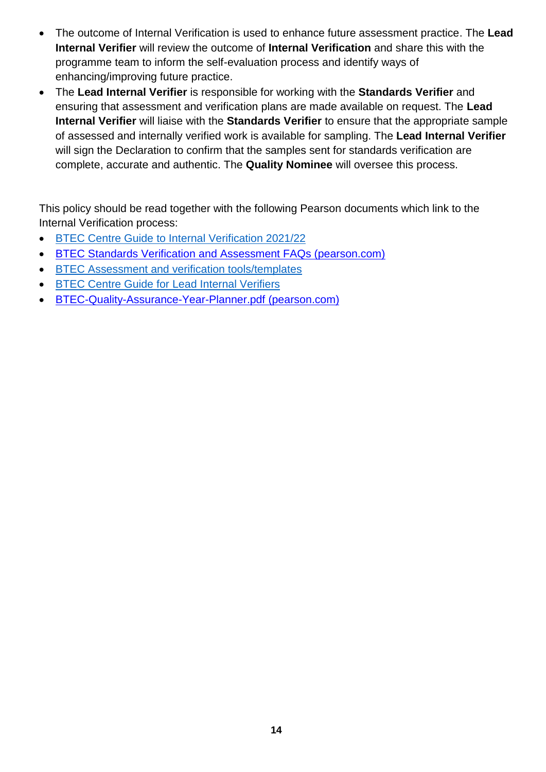- The outcome of Internal Verification is used to enhance future assessment practice. The **Lead Internal Verifier** will review the outcome of **Internal Verification** and share this with the programme team to inform the self-evaluation process and identify ways of enhancing/improving future practice.
- The **Lead Internal Verifier** is responsible for working with the **Standards Verifier** and ensuring that assessment and verification plans are made available on request. The **Lead Internal Verifier** will liaise with the **Standards Verifier** to ensure that the appropriate sample of assessed and internally verified work is available for sampling. The **Lead Internal Verifier** will sign the Declaration to confirm that the samples sent for standards verification are complete, accurate and authentic. The **Quality Nominee** will oversee this process.

This policy should be read together with the following Pearson documents which link to the Internal Verification process:

- **BTEC Centre Guide [to Internal Verification 2021/22](https://qualifications.pearson.com/content/dam/pdf/Support/Quality%20Assurance/BTEC-Centre-Guide-to-Internal-Verification.pdf)**
- BTEC Standards Verification [and Assessment FAQs \(pearson.com\)](https://support.pearson.com/uk/s/article/BTEC-Standards-Verification-and-Assessment-FAQs)
- **BTEC Assessment and verification tools/templates**
- **BTEC Centre Guide for Lead Internal Verifiers**
- [BTEC-Quality-Assurance-Year-Planner.pdf \(pearson.com\)](https://qualifications.pearson.com/content/dam/pdf/Support/Quality%20Assurance/BTEC-Quality-Assurance-Year-Planner.pdf)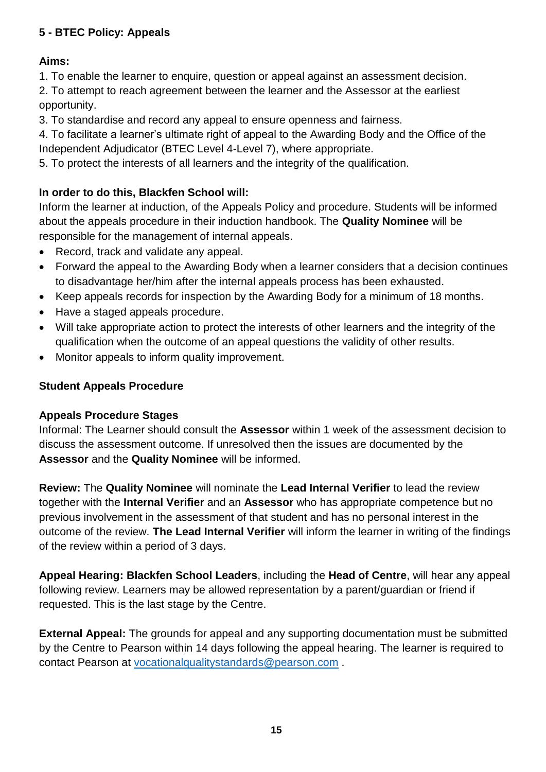# <span id="page-15-0"></span>**5 - BTEC Policy: Appeals**

## **Aims:**

1. To enable the learner to enquire, question or appeal against an assessment decision.

2. To attempt to reach agreement between the learner and the Assessor at the earliest opportunity.

3. To standardise and record any appeal to ensure openness and fairness.

4. To facilitate a learner's ultimate right of appeal to the Awarding Body and the Office of the Independent Adjudicator (BTEC Level 4-Level 7), where appropriate.

5. To protect the interests of all learners and the integrity of the qualification.

# **In order to do this, Blackfen School will:**

Inform the learner at induction, of the Appeals Policy and procedure. Students will be informed about the appeals procedure in their induction handbook. The **Quality Nominee** will be responsible for the management of internal appeals.

- Record, track and validate any appeal.
- Forward the appeal to the Awarding Body when a learner considers that a decision continues to disadvantage her/him after the internal appeals process has been exhausted.
- Keep appeals records for inspection by the Awarding Body for a minimum of 18 months.
- Have a staged appeals procedure.
- Will take appropriate action to protect the interests of other learners and the integrity of the qualification when the outcome of an appeal questions the validity of other results.
- Monitor appeals to inform quality improvement.

## **Student Appeals Procedure**

## **Appeals Procedure Stages**

Informal: The Learner should consult the **Assessor** within 1 week of the assessment decision to discuss the assessment outcome. If unresolved then the issues are documented by the **Assessor** and the **Quality Nominee** will be informed.

**Review:** The **Quality Nominee** will nominate the **Lead Internal Verifier** to lead the review together with the **Internal Verifier** and an **Assessor** who has appropriate competence but no previous involvement in the assessment of that student and has no personal interest in the outcome of the review. **The Lead Internal Verifier** will inform the learner in writing of the findings of the review within a period of 3 days.

**Appeal Hearing: Blackfen School Leaders**, including the **Head of Centre**, will hear any appeal following review. Learners may be allowed representation by a parent/guardian or friend if requested. This is the last stage by the Centre.

**External Appeal:** The grounds for appeal and any supporting documentation must be submitted by the Centre to Pearson within 14 days following the appeal hearing. The learner is required to contact Pearson at [vocationalqualitystandards@pearson.com](mailto:vocationalqualitystandards@pearson.com) .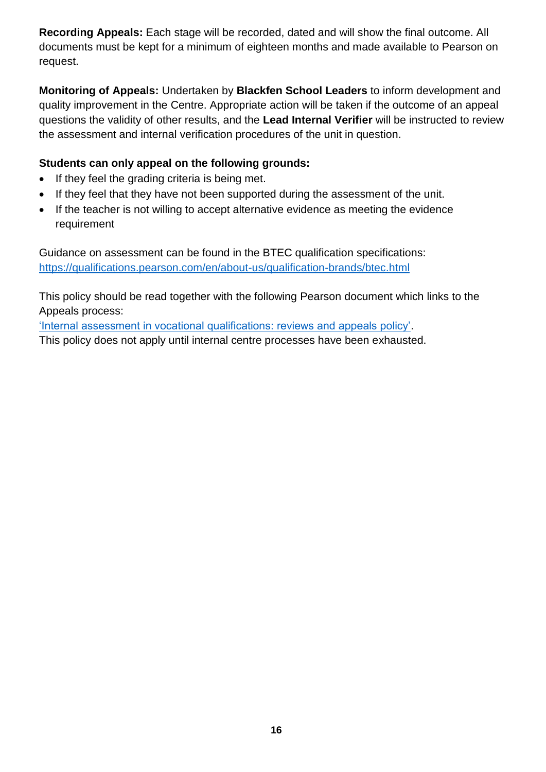**Recording Appeals:** Each stage will be recorded, dated and will show the final outcome. All documents must be kept for a minimum of eighteen months and made available to Pearson on request.

**Monitoring of Appeals:** Undertaken by **Blackfen School Leaders** to inform development and quality improvement in the Centre. Appropriate action will be taken if the outcome of an appeal questions the validity of other results, and the **Lead Internal Verifier** will be instructed to review the assessment and internal verification procedures of the unit in question.

## **Students can only appeal on the following grounds:**

- If they feel the grading criteria is being met.
- If they feel that they have not been supported during the assessment of the unit.
- If the teacher is not willing to accept alternative evidence as meeting the evidence requirement

Guidance on assessment can be found in the BTEC qualification specifications: <https://qualifications.pearson.com/en/about-us/qualification-brands/btec.html>

This policy should be read together with the following Pearson document which links to the Appeals process:

['Internal assessment in vocational qualifications: reviews and appeals policy'.](https://www.google.co.uk/url?sa=t&rct=j&q=&esrc=s&source=web&cd=&cad=rja&uact=8&ved=2ahUKEwj36OqCipXyAhUOilwKHV7cBZUQFjAAegQIBBAD&url=https%3A%2F%2Fqualifications.pearson.com%2Fcontent%2Fdam%2Fpdf%2FSupport%2Fpolicies-for-centres-learners-and-employees%2FEnquiries_and_Appeals_on_Pearson_Vocational_Qualifications.pdf&usg=AOvVaw0Xih1CBUX8RQYRi4mj1mfs)

This policy does not apply until internal centre processes have been exhausted.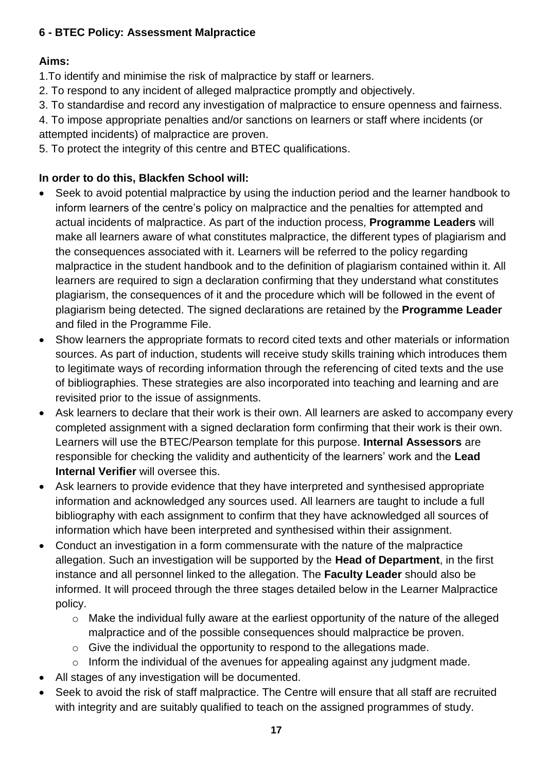## <span id="page-17-0"></span>**6 - BTEC Policy: Assessment Malpractice**

# **Aims:**

1.To identify and minimise the risk of malpractice by staff or learners.

- 2. To respond to any incident of alleged malpractice promptly and objectively.
- 3. To standardise and record any investigation of malpractice to ensure openness and fairness.

4. To impose appropriate penalties and/or sanctions on learners or staff where incidents (or attempted incidents) of malpractice are proven.

5. To protect the integrity of this centre and BTEC qualifications.

# **In order to do this, Blackfen School will:**

- Seek to avoid potential malpractice by using the induction period and the learner handbook to inform learners of the centre's policy on malpractice and the penalties for attempted and actual incidents of malpractice. As part of the induction process, **Programme Leaders** will make all learners aware of what constitutes malpractice, the different types of plagiarism and the consequences associated with it. Learners will be referred to the policy regarding malpractice in the student handbook and to the definition of plagiarism contained within it. All learners are required to sign a declaration confirming that they understand what constitutes plagiarism, the consequences of it and the procedure which will be followed in the event of plagiarism being detected. The signed declarations are retained by the **Programme Leader** and filed in the Programme File.
- Show learners the appropriate formats to record cited texts and other materials or information sources. As part of induction, students will receive study skills training which introduces them to legitimate ways of recording information through the referencing of cited texts and the use of bibliographies. These strategies are also incorporated into teaching and learning and are revisited prior to the issue of assignments.
- Ask learners to declare that their work is their own. All learners are asked to accompany every completed assignment with a signed declaration form confirming that their work is their own. Learners will use the BTEC/Pearson template for this purpose. **Internal Assessors** are responsible for checking the validity and authenticity of the learners' work and the **Lead Internal Verifier** will oversee this.
- Ask learners to provide evidence that they have interpreted and synthesised appropriate information and acknowledged any sources used. All learners are taught to include a full bibliography with each assignment to confirm that they have acknowledged all sources of information which have been interpreted and synthesised within their assignment.
- Conduct an investigation in a form commensurate with the nature of the malpractice allegation. Such an investigation will be supported by the **Head of Department**, in the first instance and all personnel linked to the allegation. The **Faculty Leader** should also be informed. It will proceed through the three stages detailed below in the Learner Malpractice policy.
	- o Make the individual fully aware at the earliest opportunity of the nature of the alleged malpractice and of the possible consequences should malpractice be proven.
	- o Give the individual the opportunity to respond to the allegations made.
	- $\circ$  Inform the individual of the avenues for appealing against any judgment made.
- All stages of any investigation will be documented.
- Seek to avoid the risk of staff malpractice. The Centre will ensure that all staff are recruited with integrity and are suitably qualified to teach on the assigned programmes of study.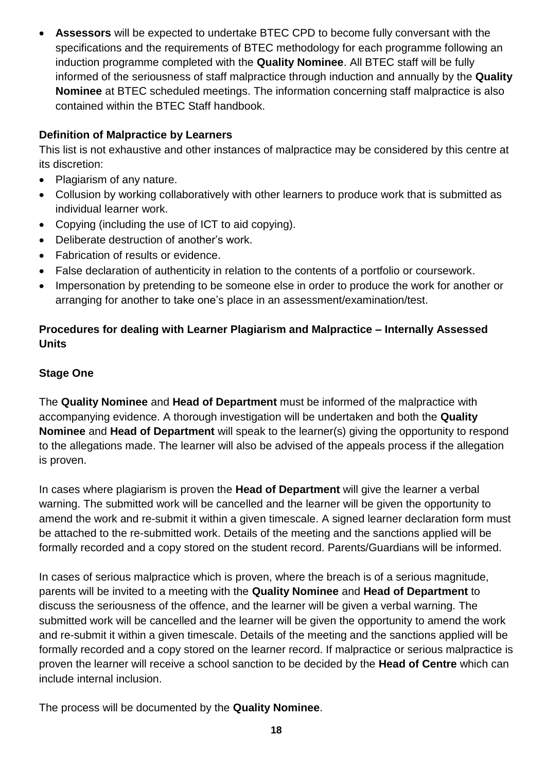**Assessors** will be expected to undertake BTEC CPD to become fully conversant with the specifications and the requirements of BTEC methodology for each programme following an induction programme completed with the **Quality Nominee**. All BTEC staff will be fully informed of the seriousness of staff malpractice through induction and annually by the **Quality Nominee** at BTEC scheduled meetings. The information concerning staff malpractice is also contained within the BTEC Staff handbook.

## **Definition of Malpractice by Learners**

This list is not exhaustive and other instances of malpractice may be considered by this centre at its discretion:

- Plagiarism of any nature.
- Collusion by working collaboratively with other learners to produce work that is submitted as individual learner work.
- Copying (including the use of ICT to aid copying).
- Deliberate destruction of another's work.
- Fabrication of results or evidence.
- False declaration of authenticity in relation to the contents of a portfolio or coursework.
- Impersonation by pretending to be someone else in order to produce the work for another or arranging for another to take one's place in an assessment/examination/test.

## **Procedures for dealing with Learner Plagiarism and Malpractice – Internally Assessed Units**

## **Stage One**

The **Quality Nominee** and **Head of Department** must be informed of the malpractice with accompanying evidence. A thorough investigation will be undertaken and both the **Quality Nominee** and **Head of Department** will speak to the learner(s) giving the opportunity to respond to the allegations made. The learner will also be advised of the appeals process if the allegation is proven.

In cases where plagiarism is proven the **Head of Department** will give the learner a verbal warning. The submitted work will be cancelled and the learner will be given the opportunity to amend the work and re-submit it within a given timescale. A signed learner declaration form must be attached to the re-submitted work. Details of the meeting and the sanctions applied will be formally recorded and a copy stored on the student record. Parents/Guardians will be informed.

In cases of serious malpractice which is proven, where the breach is of a serious magnitude, parents will be invited to a meeting with the **Quality Nominee** and **Head of Department** to discuss the seriousness of the offence, and the learner will be given a verbal warning. The submitted work will be cancelled and the learner will be given the opportunity to amend the work and re-submit it within a given timescale. Details of the meeting and the sanctions applied will be formally recorded and a copy stored on the learner record. If malpractice or serious malpractice is proven the learner will receive a school sanction to be decided by the **Head of Centre** which can include internal inclusion.

The process will be documented by the **Quality Nominee**.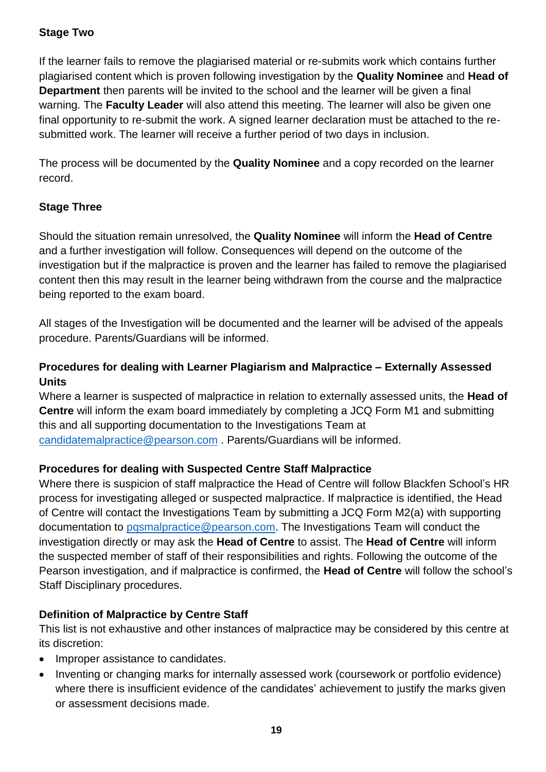## **Stage Two**

If the learner fails to remove the plagiarised material or re-submits work which contains further plagiarised content which is proven following investigation by the **Quality Nominee** and **Head of Department** then parents will be invited to the school and the learner will be given a final warning. The **Faculty Leader** will also attend this meeting. The learner will also be given one final opportunity to re-submit the work. A signed learner declaration must be attached to the resubmitted work. The learner will receive a further period of two days in inclusion.

The process will be documented by the **Quality Nominee** and a copy recorded on the learner record.

## **Stage Three**

Should the situation remain unresolved, the **Quality Nominee** will inform the **Head of Centre** and a further investigation will follow. Consequences will depend on the outcome of the investigation but if the malpractice is proven and the learner has failed to remove the plagiarised content then this may result in the learner being withdrawn from the course and the malpractice being reported to the exam board.

All stages of the Investigation will be documented and the learner will be advised of the appeals procedure. Parents/Guardians will be informed.

# **Procedures for dealing with Learner Plagiarism and Malpractice – Externally Assessed Units**

Where a learner is suspected of malpractice in relation to externally assessed units, the **Head of Centre** will inform the exam board immediately by completing a JCQ Form M1 and submitting this and all supporting documentation to the Investigations Team at [candidatemalpractice@pearson.com](mailto:candidatemalpractice@pearson.com) . Parents/Guardians will be informed.

## **Procedures for dealing with Suspected Centre Staff Malpractice**

Where there is suspicion of staff malpractice the Head of Centre will follow Blackfen School's HR process for investigating alleged or suspected malpractice. If malpractice is identified, the Head of Centre will contact the Investigations Team by submitting a JCQ Form M2(a) with supporting documentation to pasmalpractice@pearson.com. The Investigations Team will conduct the investigation directly or may ask the **Head of Centre** to assist. The **Head of Centre** will inform the suspected member of staff of their responsibilities and rights. Following the outcome of the Pearson investigation, and if malpractice is confirmed, the **Head of Centre** will follow the school's Staff Disciplinary procedures.

## **Definition of Malpractice by Centre Staff**

This list is not exhaustive and other instances of malpractice may be considered by this centre at its discretion:

- Improper assistance to candidates.
- Inventing or changing marks for internally assessed work (coursework or portfolio evidence) where there is insufficient evidence of the candidates' achievement to justify the marks given or assessment decisions made.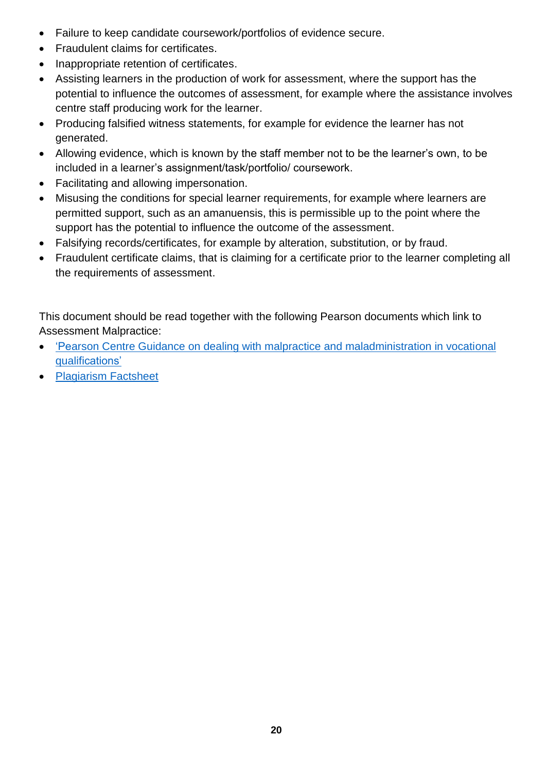- Failure to keep candidate coursework/portfolios of evidence secure.
- Fraudulent claims for certificates.
- Inappropriate retention of certificates.
- Assisting learners in the production of work for assessment, where the support has the potential to influence the outcomes of assessment, for example where the assistance involves centre staff producing work for the learner.
- Producing falsified witness statements, for example for evidence the learner has not generated.
- Allowing evidence, which is known by the staff member not to be the learner's own, to be included in a learner's assignment/task/portfolio/ coursework.
- Facilitating and allowing impersonation.
- Misusing the conditions for special learner requirements, for example where learners are permitted support, such as an amanuensis, this is permissible up to the point where the support has the potential to influence the outcome of the assessment.
- Falsifying records/certificates, for example by alteration, substitution, or by fraud.
- Fraudulent certificate claims, that is claiming for a certificate prior to the learner completing all the requirements of assessment.

This document should be read together with the following Pearson documents which link to Assessment Malpractice:

- ['Pearson Centre Guidance on dealing with malpractice and maladministration in vocational](https://www.google.co.uk/url?sa=t&rct=j&q=&esrc=s&source=web&cd=&cad=rja&uact=8&ved=2ahUKEwi47e7lkpXyAhWRecAKHft9AmMQFjAAegQIBxAD&url=https%3A%2F%2Fqualifications.pearson.com%2Fcontent%2Fdam%2Fpdf%2FSupport%2Fpolicies-for-centres-learners-and-employees%2FCentre-Guidance-malpractice-maladministration.pdf&usg=AOvVaw3l-N9NrwX_iMnr9CCfqmOf)  [qualifications'](https://www.google.co.uk/url?sa=t&rct=j&q=&esrc=s&source=web&cd=&cad=rja&uact=8&ved=2ahUKEwi47e7lkpXyAhWRecAKHft9AmMQFjAAegQIBxAD&url=https%3A%2F%2Fqualifications.pearson.com%2Fcontent%2Fdam%2Fpdf%2FSupport%2Fpolicies-for-centres-learners-and-employees%2FCentre-Guidance-malpractice-maladministration.pdf&usg=AOvVaw3l-N9NrwX_iMnr9CCfqmOf)
- Plagiarism Factsheet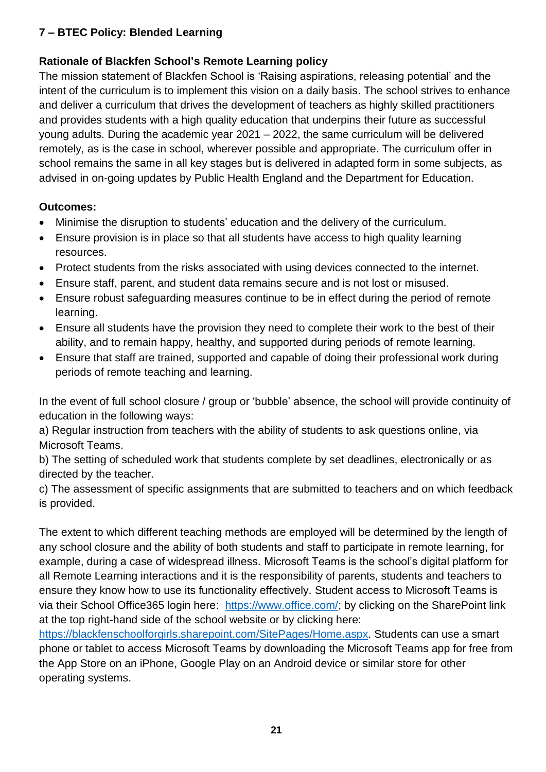# **7 – BTEC Policy: Blended Learning**

## **Rationale of Blackfen School's Remote Learning policy**

The mission statement of Blackfen School is 'Raising aspirations, releasing potential' and the intent of the curriculum is to implement this vision on a daily basis. The school strives to enhance and deliver a curriculum that drives the development of teachers as highly skilled practitioners and provides students with a high quality education that underpins their future as successful young adults. During the academic year 2021 – 2022, the same curriculum will be delivered remotely, as is the case in school, wherever possible and appropriate. The curriculum offer in school remains the same in all key stages but is delivered in adapted form in some subjects, as advised in on-going updates by Public Health England and the Department for Education.

## **Outcomes:**

- Minimise the disruption to students' education and the delivery of the curriculum.
- Ensure provision is in place so that all students have access to high quality learning resources.
- Protect students from the risks associated with using devices connected to the internet.
- Ensure staff, parent, and student data remains secure and is not lost or misused.
- Ensure robust safeguarding measures continue to be in effect during the period of remote learning.
- Ensure all students have the provision they need to complete their work to the best of their ability, and to remain happy, healthy, and supported during periods of remote learning.
- Ensure that staff are trained, supported and capable of doing their professional work during periods of remote teaching and learning.

In the event of full school closure / group or 'bubble' absence, the school will provide continuity of education in the following ways:

a) Regular instruction from teachers with the ability of students to ask questions online, via Microsoft Teams.

b) The setting of scheduled work that students complete by set deadlines, electronically or as directed by the teacher.

c) The assessment of specific assignments that are submitted to teachers and on which feedback is provided.

The extent to which different teaching methods are employed will be determined by the length of any school closure and the ability of both students and staff to participate in remote learning, for example, during a case of widespread illness. Microsoft Teams is the school's digital platform for all Remote Learning interactions and it is the responsibility of parents, students and teachers to ensure they know how to use its functionality effectively. Student access to Microsoft Teams is via their School Office365 login here: [https://www.office.com/;](https://www.office.com/) by clicking on the SharePoint link at the top right-hand side of the school website or by clicking here:

[https://blackfenschoolforgirls.sharepoint.com/SitePages/Home.aspx.](https://blackfenschoolforgirls.sharepoint.com/SitePages/Home.aspx) Students can use a smart phone or tablet to access Microsoft Teams by downloading the Microsoft Teams app for free from the App Store on an iPhone, Google Play on an Android device or similar store for other operating systems.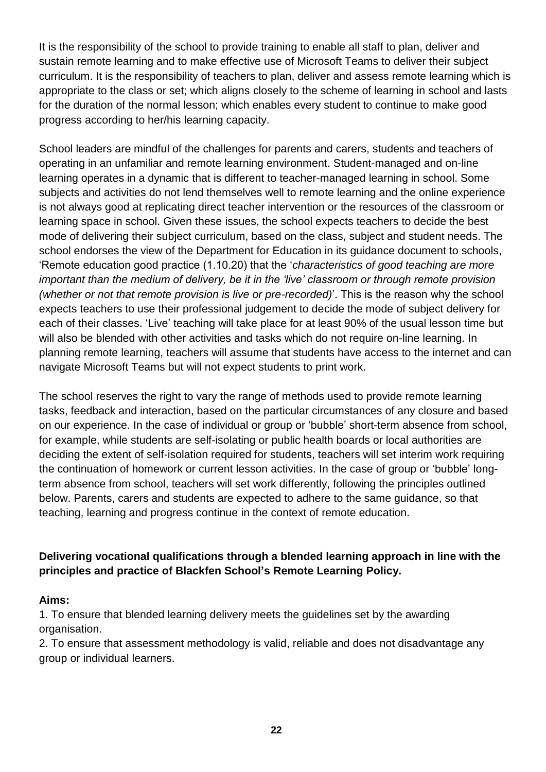It is the responsibility of the school to provide training to enable all staff to plan, deliver and sustain remote learning and to make effective use of Microsoft Teams to deliver their subject curriculum. It is the responsibility of teachers to plan, deliver and assess remote learning which is appropriate to the class or set; which aligns closely to the scheme of learning in school and lasts for the duration of the normal lesson; which enables every student to continue to make good progress according to her/his learning capacity.

School leaders are mindful of the challenges for parents and carers, students and teachers of operating in an unfamiliar and remote learning environment. Student-managed and on-line learning operates in a dynamic that is different to teacher-managed learning in school. Some subjects and activities do not lend themselves well to remote learning and the online experience is not always good at replicating direct teacher intervention or the resources of the classroom or learning space in school. Given these issues, the school expects teachers to decide the best mode of delivering their subject curriculum, based on the class, subject and student needs. The school endorses the view of the Department for Education in its guidance document to schools, 'Remote education good practice (1.10.20) that the '*characteristics of good teaching are more important than the medium of delivery, be it in the 'live' classroom or through remote provision (whether or not that remote provision is live or pre-recorded)*'. This is the reason why the school expects teachers to use their professional judgement to decide the mode of subject delivery for each of their classes. 'Live' teaching will take place for at least 90% of the usual lesson time but will also be blended with other activities and tasks which do not require on-line learning. In planning remote learning, teachers will assume that students have access to the internet and can navigate Microsoft Teams but will not expect students to print work.

The school reserves the right to vary the range of methods used to provide remote learning tasks, feedback and interaction, based on the particular circumstances of any closure and based on our experience. In the case of individual or group or 'bubble' short-term absence from school, for example, while students are self-isolating or public health boards or local authorities are deciding the extent of self-isolation required for students, teachers will set interim work requiring the continuation of homework or current lesson activities. In the case of group or 'bubble' longterm absence from school, teachers will set work differently, following the principles outlined below. Parents, carers and students are expected to adhere to the same guidance, so that teaching, learning and progress continue in the context of remote education.

## **Delivering vocational qualifications through a blended learning approach in line with the principles and practice of Blackfen School's Remote Learning Policy.**

### **Aims:**

1. To ensure that blended learning delivery meets the guidelines set by the awarding organisation.

2. To ensure that assessment methodology is valid, reliable and does not disadvantage any group or individual learners.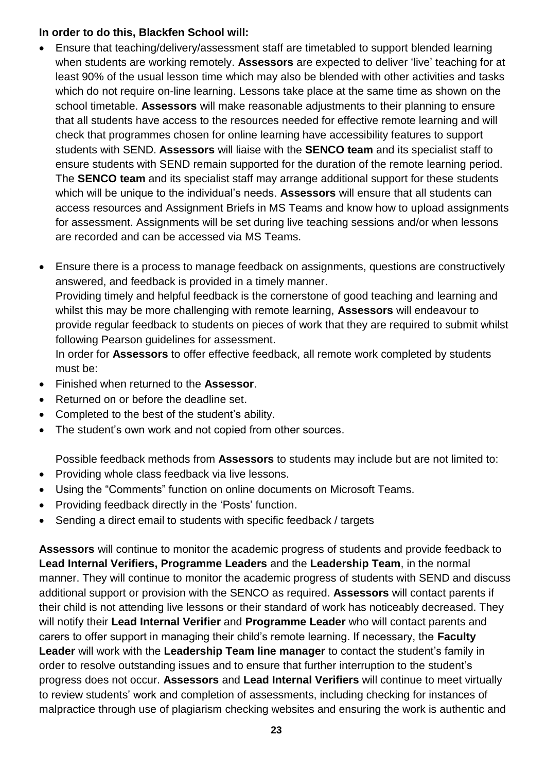#### **In order to do this, Blackfen School will:**

- Ensure that teaching/delivery/assessment staff are timetabled to support blended learning when students are working remotely. **Assessors** are expected to deliver 'live' teaching for at least 90% of the usual lesson time which may also be blended with other activities and tasks which do not require on-line learning. Lessons take place at the same time as shown on the school timetable. **Assessors** will make reasonable adjustments to their planning to ensure that all students have access to the resources needed for effective remote learning and will check that programmes chosen for online learning have accessibility features to support students with SEND. **Assessors** will liaise with the **SENCO team** and its specialist staff to ensure students with SEND remain supported for the duration of the remote learning period. The **SENCO team** and its specialist staff may arrange additional support for these students which will be unique to the individual's needs. **Assessors** will ensure that all students can access resources and Assignment Briefs in MS Teams and know how to upload assignments for assessment. Assignments will be set during live teaching sessions and/or when lessons are recorded and can be accessed via MS Teams.
- Ensure there is a process to manage feedback on assignments, questions are constructively answered, and feedback is provided in a timely manner. Providing timely and helpful feedback is the cornerstone of good teaching and learning and whilst this may be more challenging with remote learning, **Assessors** will endeavour to provide regular feedback to students on pieces of work that they are required to submit whilst following Pearson guidelines for assessment. In order for **Assessors** to offer effective feedback, all remote work completed by students must be:
- Finished when returned to the **Assessor**.
- Returned on or before the deadline set.
- Completed to the best of the student's ability.
- The student's own work and not copied from other sources.

Possible feedback methods from **Assessors** to students may include but are not limited to:

- Providing whole class feedback via live lessons.
- Using the "Comments" function on online documents on Microsoft Teams.
- Providing feedback directly in the 'Posts' function.
- Sending a direct email to students with specific feedback / targets

**Assessors** will continue to monitor the academic progress of students and provide feedback to **Lead Internal Verifiers, Programme Leaders** and the **Leadership Team**, in the normal manner. They will continue to monitor the academic progress of students with SEND and discuss additional support or provision with the SENCO as required. **Assessors** will contact parents if their child is not attending live lessons or their standard of work has noticeably decreased. They will notify their **Lead Internal Verifier** and **Programme Leader** who will contact parents and carers to offer support in managing their child's remote learning. If necessary, the **Faculty Leader** will work with the **Leadership Team line manager** to contact the student's family in order to resolve outstanding issues and to ensure that further interruption to the student's progress does not occur. **Assessors** and **Lead Internal Verifiers** will continue to meet virtually to review students' work and completion of assessments, including checking for instances of malpractice through use of plagiarism checking websites and ensuring the work is authentic and